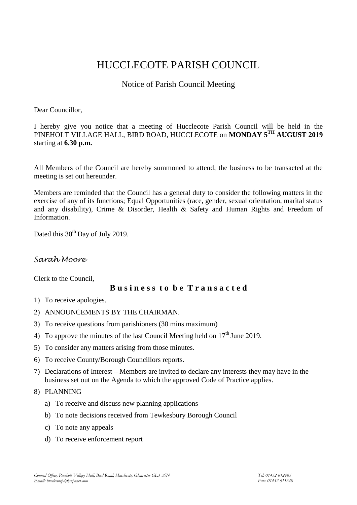# HUCCLECOTE PARISH COUNCIL

## Notice of Parish Council Meeting

#### Dear Councillor,

I hereby give you notice that a meeting of Hucclecote Parish Council will be held in the PINEHOLT VILLAGE HALL, BIRD ROAD, HUCCLECOTE on **MONDAY 5 TH AUGUST 2019** starting at **6.30 p.m.**

All Members of the Council are hereby summoned to attend; the business to be transacted at the meeting is set out hereunder.

Members are reminded that the Council has a general duty to consider the following matters in the exercise of any of its functions; Equal Opportunities (race, gender, sexual orientation, marital status and any disability), Crime & Disorder, Health & Safety and Human Rights and Freedom of Information.

Dated this 30<sup>th</sup> Day of July 2019.

## *Sarah Moore*

Clerk to the Council,

### **B u s i n e s s t o b e T r a n s a c t e d**

- 1) To receive apologies.
- 2) ANNOUNCEMENTS BY THE CHAIRMAN.
- 3) To receive questions from parishioners (30 mins maximum)
- 4) To approve the minutes of the last Council Meeting held on  $17<sup>th</sup>$  June 2019.
- 5) To consider any matters arising from those minutes.
- 6) To receive County/Borough Councillors reports.
- 7) Declarations of Interest Members are invited to declare any interests they may have in the business set out on the Agenda to which the approved Code of Practice applies.

#### 8) PLANNING

- a) To receive and discuss new planning applications
- b) To note decisions received from Tewkesbury Borough Council
- c) To note any appeals
- d) To receive enforcement report